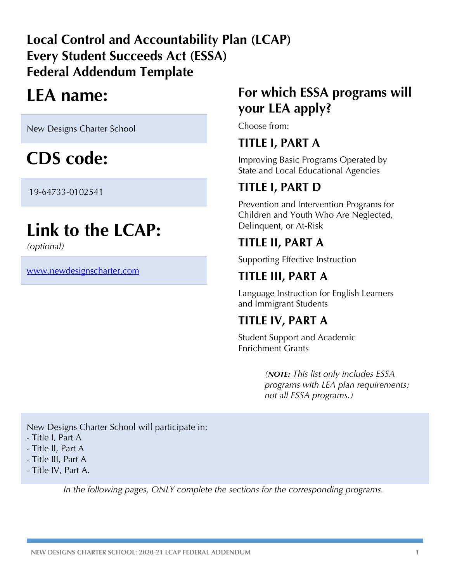## **Local Control and Accountability Plan (LCAP) Every Student Succeeds Act (ESSA) Federal Addendum Template**

# **LEA name:**

New Designs Charter School

# **CDS code:**

19-64733-0102541

# **Link to the LCAP:**

*(optional)*

www.newdesignscharter.com

## **For which ESSA programs will your LEA apply?**

Choose from:

## **TITLE I, PART A**

Improving Basic Programs Operated by State and Local Educational Agencies

## **TITLE I, PART D**

Prevention and Intervention Programs for Children and Youth Who Are Neglected, Delinquent, or At-Risk

## **TITLE II, PART A**

Supporting Effective Instruction

## **TITLE III, PART A**

Language Instruction for English Learners and Immigrant Students

## **TITLE IV, PART A**

Student Support and Academic Enrichment Grants

> *(NOTE: This list only includes ESSA programs with LEA plan requirements; not all ESSA programs.)*

New Designs Charter School will participate in:

- Title I, Part A
- Title II, Part A
- Title III, Part A
- Title IV, Part A.

*In the following pages, ONLY complete the sections for the corresponding programs.*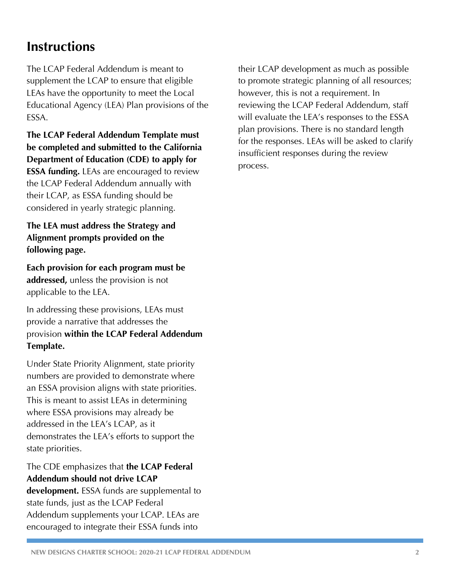## **Instructions**

The LCAP Federal Addendum is meant to supplement the LCAP to ensure that eligible LEAs have the opportunity to meet the Local Educational Agency (LEA) Plan provisions of the ESSA.

**The LCAP Federal Addendum Template must be completed and submitted to the California Department of Education (CDE) to apply for ESSA funding.** LEAs are encouraged to review the LCAP Federal Addendum annually with their LCAP, as ESSA funding should be considered in yearly strategic planning.

**The LEA must address the Strategy and Alignment prompts provided on the following page.** 

**Each provision for each program must be addressed,** unless the provision is not applicable to the LEA.

In addressing these provisions, LEAs must provide a narrative that addresses the provision **within the LCAP Federal Addendum Template.**

Under State Priority Alignment, state priority numbers are provided to demonstrate where an ESSA provision aligns with state priorities. This is meant to assist LEAs in determining where ESSA provisions may already be addressed in the LEA's LCAP, as it demonstrates the LEA's efforts to support the state priorities.

### The CDE emphasizes that **the LCAP Federal Addendum should not drive LCAP**

**development.** ESSA funds are supplemental to state funds, just as the LCAP Federal Addendum supplements your LCAP. LEAs are encouraged to integrate their ESSA funds into

their LCAP development as much as possible to promote strategic planning of all resources; however, this is not a requirement. In reviewing the LCAP Federal Addendum, staff will evaluate the LEA's responses to the ESSA plan provisions. There is no standard length for the responses. LEAs will be asked to clarify insufficient responses during the review process.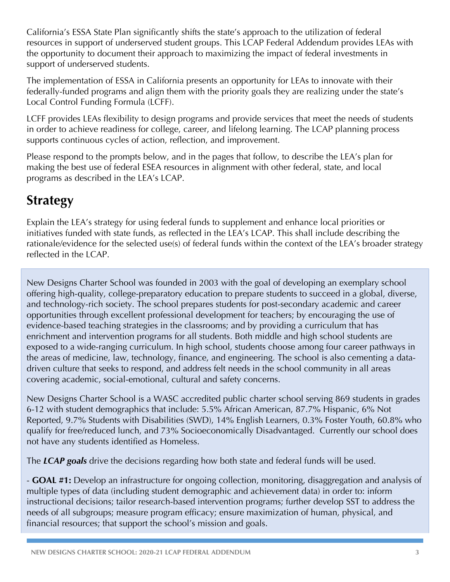California's ESSA State Plan significantly shifts the state's approach to the utilization of federal resources in support of underserved student groups. This LCAP Federal Addendum provides LEAs with the opportunity to document their approach to maximizing the impact of federal investments in support of underserved students.

The implementation of ESSA in California presents an opportunity for LEAs to innovate with their federally-funded programs and align them with the priority goals they are realizing under the state's Local Control Funding Formula (LCFF).

LCFF provides LEAs flexibility to design programs and provide services that meet the needs of students in order to achieve readiness for college, career, and lifelong learning. The LCAP planning process supports continuous cycles of action, reflection, and improvement.

Please respond to the prompts below, and in the pages that follow, to describe the LEA's plan for making the best use of federal ESEA resources in alignment with other federal, state, and local programs as described in the LEA's LCAP.

## **Strategy**

Explain the LEA's strategy for using federal funds to supplement and enhance local priorities or initiatives funded with state funds, as reflected in the LEA's LCAP. This shall include describing the rationale/evidence for the selected use(s) of federal funds within the context of the LEA's broader strategy reflected in the LCAP.

New Designs Charter School was founded in 2003 with the goal of developing an exemplary school offering high-quality, college-preparatory education to prepare students to succeed in a global, diverse, and technology-rich society. The school prepares students for post-secondary academic and career opportunities through excellent professional development for teachers; by encouraging the use of evidence-based teaching strategies in the classrooms; and by providing a curriculum that has enrichment and intervention programs for all students. Both middle and high school students are exposed to a wide-ranging curriculum. In high school, students choose among four career pathways in the areas of medicine, law, technology, finance, and engineering. The school is also cementing a datadriven culture that seeks to respond, and address felt needs in the school community in all areas covering academic, social-emotional, cultural and safety concerns.

New Designs Charter School is a WASC accredited public charter school serving 869 students in grades 6-12 with student demographics that include: 5.5% African American, 87.7% Hispanic, 6% Not Reported, 9.7% Students with Disabilities (SWD), 14% English Learners, 0.3% Foster Youth, 60.8% who qualify for free/reduced lunch, and 73% Socioeconomically Disadvantaged. Currently our school does not have any students identified as Homeless.

The *LCAP goals* drive the decisions regarding how both state and federal funds will be used.

- **GOAL #1:** Develop an infrastructure for ongoing collection, monitoring, disaggregation and analysis of multiple types of data (including student demographic and achievement data) in order to: inform instructional decisions; tailor research-based intervention programs; further develop SST to address the needs of all subgroups; measure program efficacy; ensure maximization of human, physical, and financial resources; that support the school's mission and goals.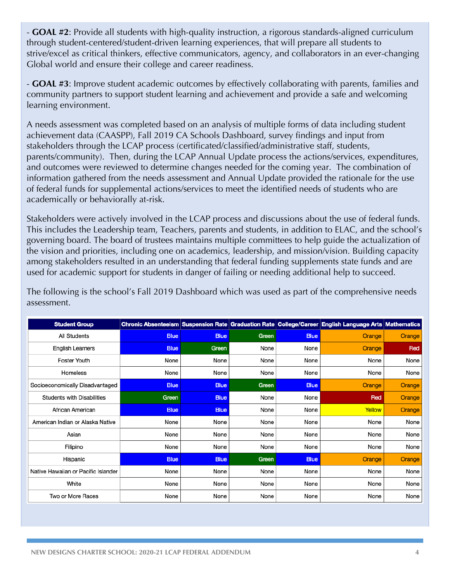- **GOAL #2**: Provide all students with high-quality instruction, a rigorous standards-aligned curriculum through student-centered/student-driven learning experiences, that will prepare all students to strive/excel as critical thinkers, effective communicators, agency, and collaborators in an ever-changing Global world and ensure their college and career readiness.

- **GOAL #3**: Improve student academic outcomes by effectively collaborating with parents, families and community partners to support student learning and achievement and provide a safe and welcoming learning environment.

A needs assessment was completed based on an analysis of multiple forms of data including student achievement data (CAASPP), Fall 2019 CA Schools Dashboard, survey findings and input from stakeholders through the LCAP process (certificated/classified/administrative staff, students, parents/community). Then, during the LCAP Annual Update process the actions/services, expenditures, and outcomes were reviewed to determine changes needed for the coming year. The combination of information gathered from the needs assessment and Annual Update provided the rationale for the use of federal funds for supplemental actions/services to meet the identified needs of students who are academically or behaviorally at-risk.

Stakeholders were actively involved in the LCAP process and discussions about the use of federal funds. This includes the Leadership team, Teachers, parents and students, in addition to ELAC, and the school's governing board. The board of trustees maintains multiple committees to help guide the actualization of the vision and priorities, including one on academics, leadership, and mission/vision. Building capacity among stakeholders resulted in an understanding that federal funding supplements state funds and are used for academic support for students in danger of failing or needing additional help to succeed.

The following is the school's Fall 2019 Dashboard which was used as part of the comprehensive needs assessment.

| <b>Student Group</b>                |             |             |       |             | Chronic Absenteeism Suspension Rate Graduation Rate College/Career English Language Arts Mathematics |        |
|-------------------------------------|-------------|-------------|-------|-------------|------------------------------------------------------------------------------------------------------|--------|
| All Students                        | <b>Blue</b> | <b>Blue</b> | Green | <b>Blue</b> | <b>Orange</b>                                                                                        | Orange |
| <b>English Learners</b>             | <b>Blue</b> | Green       | None  | None        | Orange                                                                                               | Red    |
| <b>Foster Youth</b>                 | None        | None        | None  | None        | None                                                                                                 | None   |
| Homeless                            | None        | None        | None  | None        | None                                                                                                 | None   |
| Socioeconomically Disadvantaged     | <b>Blue</b> | <b>Blue</b> | Green | <b>Blue</b> | <b>Orange</b>                                                                                        | Orange |
| <b>Students with Disabilities</b>   | Green       | <b>Blue</b> | None  | None        | Red                                                                                                  | Orange |
| African American                    | <b>Blue</b> | <b>Blue</b> | None  | None        | Yellow                                                                                               | Orange |
| American Indian or Alaska Native    | None        | None        | None  | None        | None                                                                                                 | None   |
| Asian                               | None        | None        | None  | None        | None                                                                                                 | None   |
| Filipino                            | None        | None        | None  | None        | None                                                                                                 | None   |
| Hispanic                            | <b>Blue</b> | <b>Blue</b> | Green | <b>Blue</b> | Orange                                                                                               | Orange |
| Native Hawaiian or Pacific Islander | None        | None        | None  | None        | None                                                                                                 | None   |
| White                               | None        | None        | None  | None        | None                                                                                                 | None   |
| Two or More Races                   | None        | None        | None  | None        | None                                                                                                 | None   |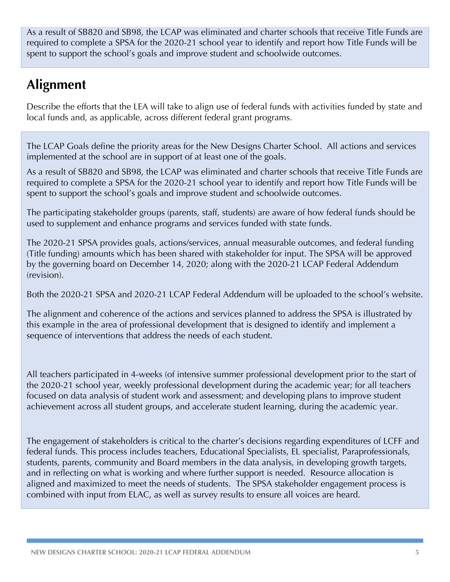As a result of SB820 and SB98, the LCAP was eliminated and charter schools that receive Title Funds are required to complete a SPSA for the 2020-21 school year to identify and report how Title Funds will be spent to support the school's goals and improve student and schoolwide outcomes.

## **Alignment**

Describe the efforts that the LEA will take to align use of federal funds with activities funded by state and local funds and, as applicable, across different federal grant programs.

The LCAP Goals define the priority areas for the New Designs Charter School. All actions and services implemented at the school are in support of at least one of the goals.

As a result of SB820 and SB98, the LCAP was eliminated and charter schools that receive Title Funds are required to complete a SPSA for the 2020-21 school year to identify and report how Title Funds will be spent to support the school's goals and improve student and schoolwide outcomes.

The participating stakeholder groups (parents, staff, students) are aware of how federal funds should be used to supplement and enhance programs and services funded with state funds.

The 2020-21 SPSA provides goals, actions/services, annual measurable outcomes, and federal funding (Title funding) amounts which has been shared with stakeholder for input. The SPSA will be approved by the governing board on December 14, 2020; along with the 2020-21 LCAP Federal Addendum (revision).

Both the 2020-21 SPSA and 2020-21 LCAP Federal Addendum will be uploaded to the school's website.

The alignment and coherence of the actions and services planned to address the SPSA is illustrated by this example in the area of professional development that is designed to identify and implement a sequence of interventions that address the needs of each student.

All teachers participated in 4-weeks (of intensive summer professional development prior to the start of the 2020-21 school year, weekly professional development during the academic year; for all teachers focused on data analysis of student work and assessment; and developing plans to improve student achievement across all student groups, and accelerate student learning, during the academic year.

The engagement of stakeholders is critical to the charter's decisions regarding expenditures of LCFF and federal funds. This process includes teachers, Educational Specialists, EL specialist, Paraprofessionals, students, parents, community and Board members in the data analysis, in developing growth targets, and in reflecting on what is working and where further support is needed. Resource allocation is aligned and maximized to meet the needs of students. The SPSA stakeholder engagement process is combined with input from ELAC, as well as survey results to ensure all voices are heard.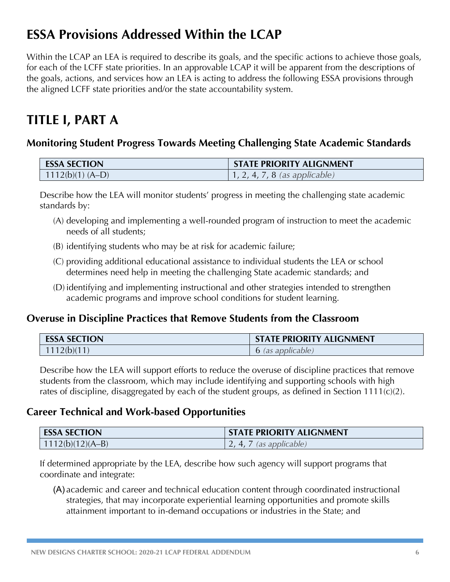## **ESSA Provisions Addressed Within the LCAP**

Within the LCAP an LEA is required to describe its goals, and the specific actions to achieve those goals, for each of the LCFF state priorities. In an approvable LCAP it will be apparent from the descriptions of the goals, actions, and services how an LEA is acting to address the following ESSA provisions through the aligned LCFF state priorities and/or the state accountability system.

## **TITLE I, PART A**

## **Monitoring Student Progress Towards Meeting Challenging State Academic Standards**

| <b>ESSA SECTION</b> | <b>STATE PRIORITY ALIGNMENT</b>       |
|---------------------|---------------------------------------|
| $1112(b)(1)$ (A-D)  | $\vert$ 1, 2, 4, 7, 8 (as applicable) |

Describe how the LEA will monitor students' progress in meeting the challenging state academic standards by:

- (A) developing and implementing a well-rounded program of instruction to meet the academic needs of all students;
- (B) identifying students who may be at risk for academic failure;
- (C) providing additional educational assistance to individual students the LEA or school determines need help in meeting the challenging State academic standards; and
- (D) identifying and implementing instructional and other strategies intended to strengthen academic programs and improve school conditions for student learning.

## **Overuse in Discipline Practices that Remove Students from the Classroom**

| <b>ESSA SECTION</b> | <b>STATE PRIORITY ALIGNMENT</b> |
|---------------------|---------------------------------|
| 1112(b)(11)         | 6 (as applicable)               |

Describe how the LEA will support efforts to reduce the overuse of discipline practices that remove students from the classroom, which may include identifying and supporting schools with high rates of discipline, disaggregated by each of the student groups, as defined in Section 1111(c)(2).

### **Career Technical and Work-based Opportunities**

| <b>ESSA SECTION</b> | <b>STATE PRIORITY ALIGNMENT</b> |
|---------------------|---------------------------------|
| $1112(b)(12)(A-B)$  | , 7 (as applicable)<br>4,7      |

If determined appropriate by the LEA, describe how such agency will support programs that coordinate and integrate:

(A) academic and career and technical education content through coordinated instructional strategies, that may incorporate experiential learning opportunities and promote skills attainment important to in-demand occupations or industries in the State; and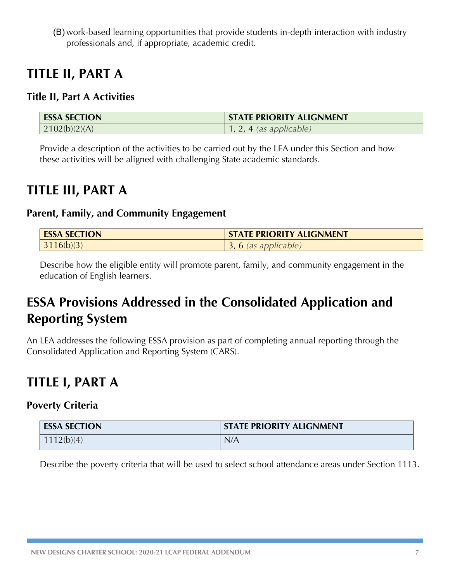(B) work-based learning opportunities that provide students in-depth interaction with industry professionals and, if appropriate, academic credit.

## **TITLE II, PART A**

## **Title II, Part A Activities**

| <b>ESSA SECTION</b> | <b>STATE PRIORITY ALIGNMENT</b> |
|---------------------|---------------------------------|
| 2102(b)(2)(A)       | . 4 (as applicable)             |

Provide a description of the activities to be carried out by the LEA under this Section and how these activities will be aligned with challenging State academic standards.

## **TITLE III, PART A**

### **Parent, Family, and Community Engagement**

| <b>ESSA SECTION</b> | <b>STATE PRIORITY ALIGNMENT</b> |
|---------------------|---------------------------------|
| 3116(b)(3)          | $\rightarrow$ 6 (as applicable) |

Describe how the eligible entity will promote parent, family, and community engagement in the education of English learners.

## **ESSA Provisions Addressed in the Consolidated Application and Reporting System**

An LEA addresses the following ESSA provision as part of completing annual reporting through the Consolidated Application and Reporting System (CARS).

## **TITLE I, PART A**

### **Poverty Criteria**

| <b>ESSA SECTION</b> | <b>STATE PRIORITY ALIGNMENT</b> |
|---------------------|---------------------------------|
| 1112(b)(4)          | N/A                             |

Describe the poverty criteria that will be used to select school attendance areas under Section 1113.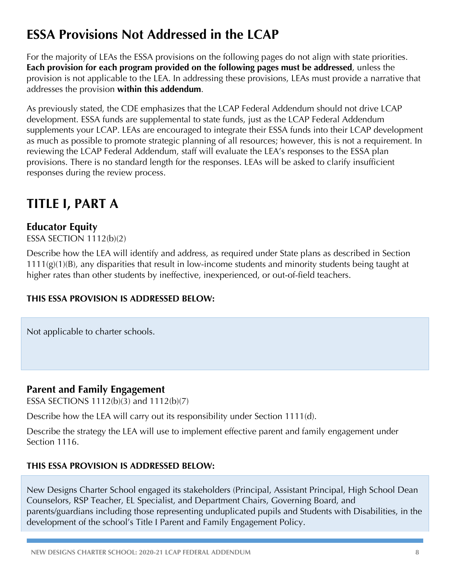## **ESSA Provisions Not Addressed in the LCAP**

For the majority of LEAs the ESSA provisions on the following pages do not align with state priorities. **Each provision for each program provided on the following pages must be addressed**, unless the provision is not applicable to the LEA. In addressing these provisions, LEAs must provide a narrative that addresses the provision **within this addendum**.

As previously stated, the CDE emphasizes that the LCAP Federal Addendum should not drive LCAP development. ESSA funds are supplemental to state funds, just as the LCAP Federal Addendum supplements your LCAP. LEAs are encouraged to integrate their ESSA funds into their LCAP development as much as possible to promote strategic planning of all resources; however, this is not a requirement. In reviewing the LCAP Federal Addendum, staff will evaluate the LEA's responses to the ESSA plan provisions. There is no standard length for the responses. LEAs will be asked to clarify insufficient responses during the review process.

## **TITLE I, PART A**

## **Educator Equity**

ESSA SECTION 1112(b)(2)

Describe how the LEA will identify and address, as required under State plans as described in Section 1111(g)(1)(B), any disparities that result in low-income students and minority students being taught at higher rates than other students by ineffective, inexperienced, or out-of-field teachers.

### **THIS ESSA PROVISION IS ADDRESSED BELOW:**

Not applicable to charter schools.

### **Parent and Family Engagement**

ESSA SECTIONS 1112(b)(3) and 1112(b)(7)

Describe how the LEA will carry out its responsibility under Section 1111(d).

Describe the strategy the LEA will use to implement effective parent and family engagement under Section 1116.

#### **THIS ESSA PROVISION IS ADDRESSED BELOW:**

New Designs Charter School engaged its stakeholders (Principal, Assistant Principal, High School Dean Counselors, RSP Teacher, EL Specialist, and Department Chairs, Governing Board, and parents/guardians including those representing unduplicated pupils and Students with Disabilities, in the development of the school's Title I Parent and Family Engagement Policy.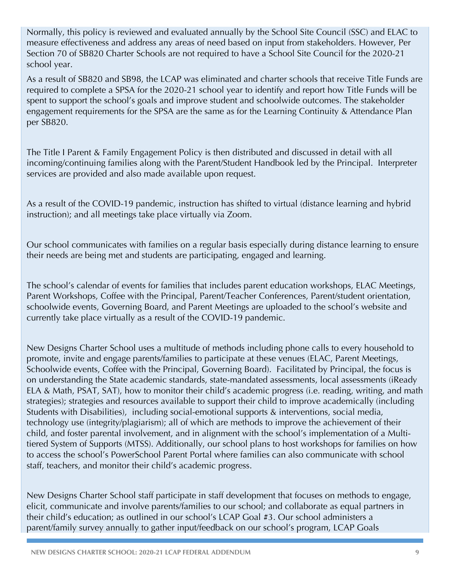Normally, this policy is reviewed and evaluated annually by the School Site Council (SSC) and ELAC to measure effectiveness and address any areas of need based on input from stakeholders. However, Per Section 70 of SB820 Charter Schools are not required to have a School Site Council for the 2020-21 school year.

As a result of SB820 and SB98, the LCAP was eliminated and charter schools that receive Title Funds are required to complete a SPSA for the 2020-21 school year to identify and report how Title Funds will be spent to support the school's goals and improve student and schoolwide outcomes. The stakeholder engagement requirements for the SPSA are the same as for the Learning Continuity & Attendance Plan per SB820.

The Title I Parent & Family Engagement Policy is then distributed and discussed in detail with all incoming/continuing families along with the Parent/Student Handbook led by the Principal. Interpreter services are provided and also made available upon request.

As a result of the COVID-19 pandemic, instruction has shifted to virtual (distance learning and hybrid instruction); and all meetings take place virtually via Zoom.

Our school communicates with families on a regular basis especially during distance learning to ensure their needs are being met and students are participating, engaged and learning.

The school's calendar of events for families that includes parent education workshops, ELAC Meetings, Parent Workshops, Coffee with the Principal, Parent/Teacher Conferences, Parent/student orientation, schoolwide events, Governing Board, and Parent Meetings are uploaded to the school's website and currently take place virtually as a result of the COVID-19 pandemic.

New Designs Charter School uses a multitude of methods including phone calls to every household to promote, invite and engage parents/families to participate at these venues (ELAC, Parent Meetings, Schoolwide events, Coffee with the Principal, Governing Board). Facilitated by Principal, the focus is on understanding the State academic standards, state-mandated assessments, local assessments (iReady ELA & Math, PSAT, SAT), how to monitor their child's academic progress (i.e. reading, writing, and math strategies); strategies and resources available to support their child to improve academically (including Students with Disabilities), including social-emotional supports & interventions, social media, technology use (integrity/plagiarism); all of which are methods to improve the achievement of their child, and foster parental involvement, and in alignment with the school's implementation of a Multitiered System of Supports (MTSS). Additionally, our school plans to host workshops for families on how to access the school's PowerSchool Parent Portal where families can also communicate with school staff, teachers, and monitor their child's academic progress.

New Designs Charter School staff participate in staff development that focuses on methods to engage, elicit, communicate and involve parents/families to our school; and collaborate as equal partners in their child's education; as outlined in our school's LCAP Goal #3. Our school administers a parent/family survey annually to gather input/feedback on our school's program, LCAP Goals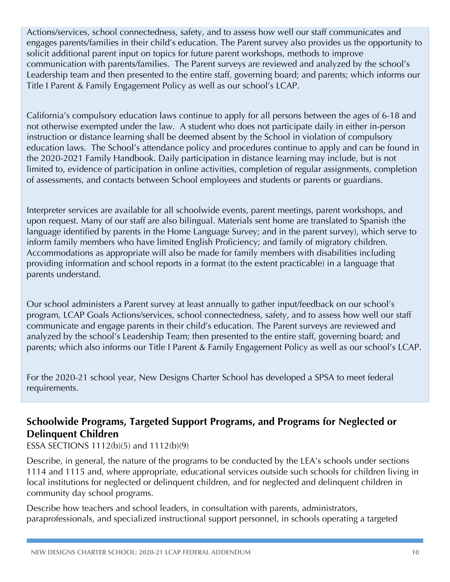Actions/services, school connectedness, safety, and to assess how well our staff communicates and engages parents/families in their child's education. The Parent survey also provides us the opportunity to solicit additional parent input on topics for future parent workshops, methods to improve communication with parents/families. The Parent surveys are reviewed and analyzed by the school's Leadership team and then presented to the entire staff, governing board; and parents; which informs our Title I Parent & Family Engagement Policy as well as our school's LCAP.

California's compulsory education laws continue to apply for all persons between the ages of 6-18 and not otherwise exempted under the law. A student who does not participate daily in either in-person instruction or distance learning shall be deemed absent by the School in violation of compulsory education laws. The School's attendance policy and procedures continue to apply and can be found in the 2020-2021 Family Handbook. Daily participation in distance learning may include, but is not limited to, evidence of participation in online activities, completion of regular assignments, completion of assessments, and contacts between School employees and students or parents or guardians.

Interpreter services are available for all schoolwide events, parent meetings, parent workshops, and upon request. Many of our staff are also bilingual. Materials sent home are translated to Spanish (the language identified by parents in the Home Language Survey; and in the parent survey), which serve to inform family members who have limited English Proficiency; and family of migratory children. Accommodations as appropriate will also be made for family members with disabilities including providing information and school reports in a format (to the extent practicable) in a language that parents understand.

Our school administers a Parent survey at least annually to gather input/feedback on our school's program, LCAP Goals Actions/services, school connectedness, safety, and to assess how well our staff communicate and engage parents in their child's education. The Parent surveys are reviewed and analyzed by the school's Leadership Team; then presented to the entire staff, governing board; and parents; which also informs our Title I Parent & Family Engagement Policy as well as our school's LCAP.

For the 2020-21 school year, New Designs Charter School has developed a SPSA to meet federal requirements.

## **Schoolwide Programs, Targeted Support Programs, and Programs for Neglected or Delinquent Children**

ESSA SECTIONS 1112(b)(5) and 1112(b)(9)

Describe, in general, the nature of the programs to be conducted by the LEA's schools under sections 1114 and 1115 and, where appropriate, educational services outside such schools for children living in local institutions for neglected or delinquent children, and for neglected and delinquent children in community day school programs.

Describe how teachers and school leaders, in consultation with parents, administrators, paraprofessionals, and specialized instructional support personnel, in schools operating a targeted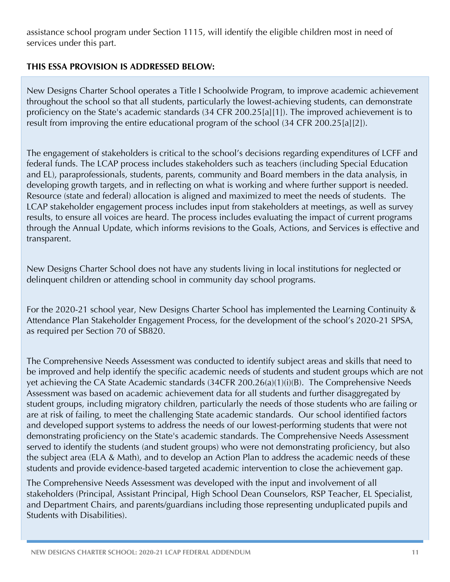assistance school program under Section 1115, will identify the eligible children most in need of services under this part.

#### **THIS ESSA PROVISION IS ADDRESSED BELOW:**

New Designs Charter School operates a Title I Schoolwide Program, to improve academic achievement throughout the school so that all students, particularly the lowest-achieving students, can demonstrate proficiency on the State's academic standards (34 CFR 200.25[a][1]). The improved achievement is to result from improving the entire educational program of the school (34 CFR 200.25[a][2]).

The engagement of stakeholders is critical to the school's decisions regarding expenditures of LCFF and federal funds. The LCAP process includes stakeholders such as teachers (including Special Education and EL), paraprofessionals, students, parents, community and Board members in the data analysis, in developing growth targets, and in reflecting on what is working and where further support is needed. Resource (state and federal) allocation is aligned and maximized to meet the needs of students. The LCAP stakeholder engagement process includes input from stakeholders at meetings, as well as survey results, to ensure all voices are heard. The process includes evaluating the impact of current programs through the Annual Update, which informs revisions to the Goals, Actions, and Services is effective and transparent.

New Designs Charter School does not have any students living in local institutions for neglected or delinquent children or attending school in community day school programs.

For the 2020-21 school year, New Designs Charter School has implemented the Learning Continuity & Attendance Plan Stakeholder Engagement Process, for the development of the school's 2020-21 SPSA, as required per Section 70 of SB820.

The Comprehensive Needs Assessment was conducted to identify subject areas and skills that need to be improved and help identify the specific academic needs of students and student groups which are not yet achieving the CA State Academic standards (34CFR 200.26(a)(1)(i)(B). The Comprehensive Needs Assessment was based on academic achievement data for all students and further disaggregated by student groups, including migratory children, particularly the needs of those students who are failing or are at risk of failing, to meet the challenging State academic standards. Our school identified factors and developed support systems to address the needs of our lowest-performing students that were not demonstrating proficiency on the State's academic standards. The Comprehensive Needs Assessment served to identify the students (and student groups) who were not demonstrating proficiency, but also the subject area (ELA & Math), and to develop an Action Plan to address the academic needs of these students and provide evidence-based targeted academic intervention to close the achievement gap.

The Comprehensive Needs Assessment was developed with the input and involvement of all stakeholders (Principal, Assistant Principal, High School Dean Counselors, RSP Teacher, EL Specialist, and Department Chairs, and parents/guardians including those representing unduplicated pupils and Students with Disabilities).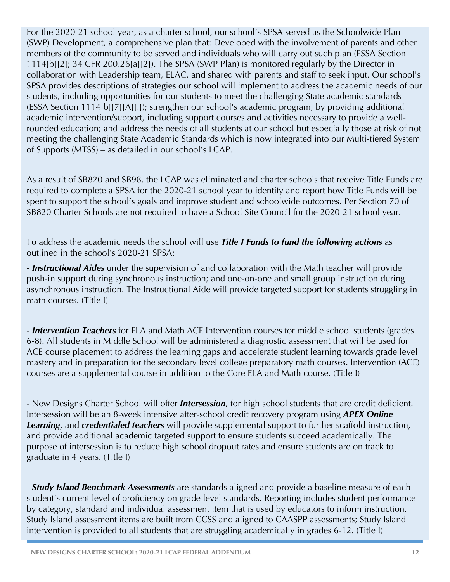For the 2020-21 school year, as a charter school, our school's SPSA served as the Schoolwide Plan (SWP) Development, a comprehensive plan that: Developed with the involvement of parents and other members of the community to be served and individuals who will carry out such plan (ESSA Section 1114[b][2]; 34 CFR 200.26[a][2]). The SPSA (SWP Plan) is monitored regularly by the Director in collaboration with Leadership team, ELAC, and shared with parents and staff to seek input. Our school's SPSA provides descriptions of strategies our school will implement to address the academic needs of our students, including opportunities for our students to meet the challenging State academic standards (ESSA Section 1114[b][7][A][i]); strengthen our school's academic program, by providing additional academic intervention/support, including support courses and activities necessary to provide a wellrounded education; and address the needs of all students at our school but especially those at risk of not meeting the challenging State Academic Standards which is now integrated into our Multi-tiered System of Supports (MTSS) – as detailed in our school's LCAP.

As a result of SB820 and SB98, the LCAP was eliminated and charter schools that receive Title Funds are required to complete a SPSA for the 2020-21 school year to identify and report how Title Funds will be spent to support the school's goals and improve student and schoolwide outcomes. Per Section 70 of SB820 Charter Schools are not required to have a School Site Council for the 2020-21 school year.

To address the academic needs the school will use *Title I Funds to fund the following actions* as outlined in the school's 2020-21 SPSA:

- *Instructional Aides* under the supervision of and collaboration with the Math teacher will provide push-in support during synchronous instruction; and one-on-one and small group instruction during asynchronous instruction. The Instructional Aide will provide targeted support for students struggling in math courses. (Title I)

- *Intervention Teachers* for ELA and Math ACE Intervention courses for middle school students (grades 6-8). All students in Middle School will be administered a diagnostic assessment that will be used for ACE course placement to address the learning gaps and accelerate student learning towards grade level mastery and in preparation for the secondary level college preparatory math courses. Intervention (ACE) courses are a supplemental course in addition to the Core ELA and Math course. (Title I)

- New Designs Charter School will offer *Intersession*, for high school students that are credit deficient. Intersession will be an 8-week intensive after-school credit recovery program using *APEX Online Learning*, and *credentialed teachers* will provide supplemental support to further scaffold instruction, and provide additional academic targeted support to ensure students succeed academically. The purpose of intersession is to reduce high school dropout rates and ensure students are on track to graduate in 4 years. (Title I)

- *Study Island Benchmark Assessments* are standards aligned and provide a baseline measure of each student's current level of proficiency on grade level standards. Reporting includes student performance by category, standard and individual assessment item that is used by educators to inform instruction. Study Island assessment items are built from CCSS and aligned to CAASPP assessments; Study Island intervention is provided to all students that are struggling academically in grades 6-12. (Title I)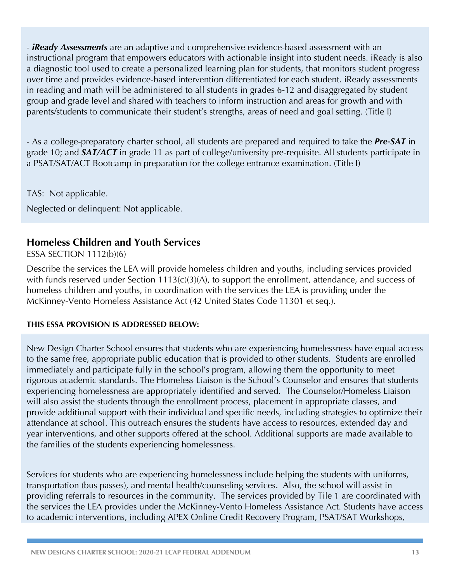- *iReady Assessments* are an adaptive and comprehensive evidence-based assessment with an instructional program that empowers educators with actionable insight into student needs. iReady is also a diagnostic tool used to create a personalized learning plan for students, that monitors student progress over time and provides evidence-based intervention differentiated for each student. iReady assessments in reading and math will be administered to all students in grades 6-12 and disaggregated by student group and grade level and shared with teachers to inform instruction and areas for growth and with parents/students to communicate their student's strengths, areas of need and goal setting. (Title I)

- As a college-preparatory charter school, all students are prepared and required to take the *Pre-SAT* in grade 10; and *SAT/ACT* in grade 11 as part of college/university pre-requisite. All students participate in a PSAT/SAT/ACT Bootcamp in preparation for the college entrance examination. (Title I)

TAS: Not applicable.

Neglected or delinquent: Not applicable.

### **Homeless Children and Youth Services**

ESSA SECTION 1112(b)(6)

Describe the services the LEA will provide homeless children and youths, including services provided with funds reserved under Section 1113(c)(3)(A), to support the enrollment, attendance, and success of homeless children and youths, in coordination with the services the LEA is providing under the McKinney-Vento Homeless Assistance Act (42 United States Code 11301 et seq.).

#### **THIS ESSA PROVISION IS ADDRESSED BELOW:**

New Design Charter School ensures that students who are experiencing homelessness have equal access to the same free, appropriate public education that is provided to other students. Students are enrolled immediately and participate fully in the school's program, allowing them the opportunity to meet rigorous academic standards. The Homeless Liaison is the School's Counselor and ensures that students experiencing homelessness are appropriately identified and served. The Counselor/Homeless Liaison will also assist the students through the enrollment process, placement in appropriate classes, and provide additional support with their individual and specific needs, including strategies to optimize their attendance at school. This outreach ensures the students have access to resources, extended day and year interventions, and other supports offered at the school. Additional supports are made available to the families of the students experiencing homelessness.

Services for students who are experiencing homelessness include helping the students with uniforms, transportation (bus passes), and mental health/counseling services. Also, the school will assist in providing referrals to resources in the community. The services provided by Tile 1 are coordinated with the services the LEA provides under the McKinney-Vento Homeless Assistance Act. Students have access to academic interventions, including APEX Online Credit Recovery Program, PSAT/SAT Workshops,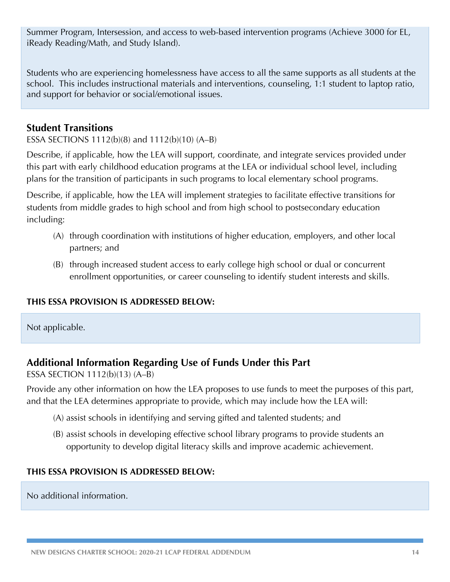Summer Program, Intersession, and access to web-based intervention programs (Achieve 3000 for EL, iReady Reading/Math, and Study Island).

Students who are experiencing homelessness have access to all the same supports as all students at the school. This includes instructional materials and interventions, counseling, 1:1 student to laptop ratio, and support for behavior or social/emotional issues.

### **Student Transitions**

ESSA SECTIONS 1112(b)(8) and 1112(b)(10) (A–B)

Describe, if applicable, how the LEA will support, coordinate, and integrate services provided under this part with early childhood education programs at the LEA or individual school level, including plans for the transition of participants in such programs to local elementary school programs.

Describe, if applicable, how the LEA will implement strategies to facilitate effective transitions for students from middle grades to high school and from high school to postsecondary education including:

- (A) through coordination with institutions of higher education, employers, and other local partners; and
- (B) through increased student access to early college high school or dual or concurrent enrollment opportunities, or career counseling to identify student interests and skills.

### **THIS ESSA PROVISION IS ADDRESSED BELOW:**

Not applicable.

## **Additional Information Regarding Use of Funds Under this Part**

ESSA SECTION 1112(b)(13) (A–B)

Provide any other information on how the LEA proposes to use funds to meet the purposes of this part, and that the LEA determines appropriate to provide, which may include how the LEA will:

- (A) assist schools in identifying and serving gifted and talented students; and
- (B) assist schools in developing effective school library programs to provide students an opportunity to develop digital literacy skills and improve academic achievement.

#### **THIS ESSA PROVISION IS ADDRESSED BELOW:**

No additional information.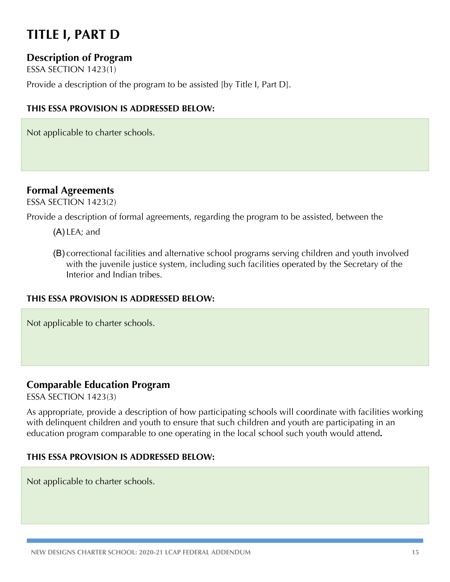## **TITLE I, PART D**

### **Description of Program**

ESSA SECTION 1423(1)

Provide a description of the program to be assisted [by Title I, Part D].

#### **THIS ESSA PROVISION IS ADDRESSED BELOW:**

Not applicable to charter schools.

### **Formal Agreements**

ESSA SECTION 1423(2)

Provide a description of formal agreements, regarding the program to be assisted, between the

- (A) LEA; and
- (B) correctional facilities and alternative school programs serving children and youth involved with the juvenile justice system, including such facilities operated by the Secretary of the Interior and Indian tribes.

#### **THIS ESSA PROVISION IS ADDRESSED BELOW:**

Not applicable to charter schools.

### **Comparable Education Program**

ESSA SECTION 1423(3)

As appropriate, provide a description of how participating schools will coordinate with facilities working with delinquent children and youth to ensure that such children and youth are participating in an education program comparable to one operating in the local school such youth would attend**.**

#### **THIS ESSA PROVISION IS ADDRESSED BELOW:**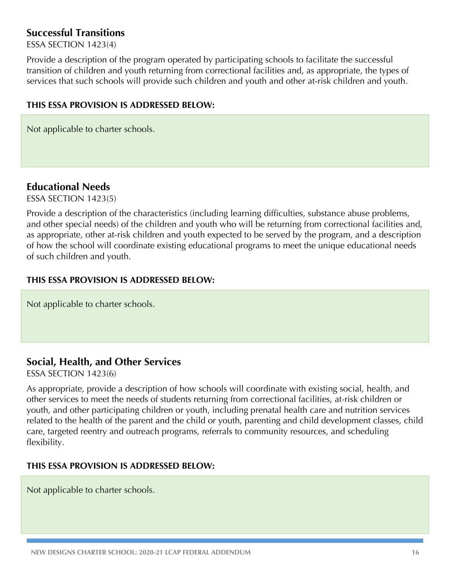### **Successful Transitions**

ESSA SECTION 1423(4)

Provide a description of the program operated by participating schools to facilitate the successful transition of children and youth returning from correctional facilities and, as appropriate, the types of services that such schools will provide such children and youth and other at-risk children and youth.

#### **THIS ESSA PROVISION IS ADDRESSED BELOW:**

Not applicable to charter schools.

### **Educational Needs**

ESSA SECTION 1423(5)

Provide a description of the characteristics (including learning difficulties, substance abuse problems, and other special needs) of the children and youth who will be returning from correctional facilities and, as appropriate, other at-risk children and youth expected to be served by the program, and a description of how the school will coordinate existing educational programs to meet the unique educational needs of such children and youth.

#### **THIS ESSA PROVISION IS ADDRESSED BELOW:**

Not applicable to charter schools.

### **Social, Health, and Other Services**

ESSA SECTION 1423(6)

As appropriate, provide a description of how schools will coordinate with existing social, health, and other services to meet the needs of students returning from correctional facilities, at-risk children or youth, and other participating children or youth, including prenatal health care and nutrition services related to the health of the parent and the child or youth, parenting and child development classes, child care, targeted reentry and outreach programs, referrals to community resources, and scheduling flexibility.

#### **THIS ESSA PROVISION IS ADDRESSED BELOW:**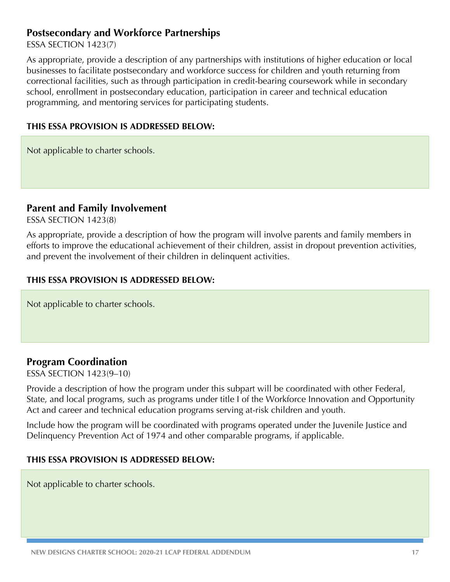### **Postsecondary and Workforce Partnerships**

ESSA SECTION 1423(7)

As appropriate, provide a description of any partnerships with institutions of higher education or local businesses to facilitate postsecondary and workforce success for children and youth returning from correctional facilities, such as through participation in credit-bearing coursework while in secondary school, enrollment in postsecondary education, participation in career and technical education programming, and mentoring services for participating students.

#### **THIS ESSA PROVISION IS ADDRESSED BELOW:**

Not applicable to charter schools.

#### **Parent and Family Involvement**

ESSA SECTION 1423(8)

As appropriate, provide a description of how the program will involve parents and family members in efforts to improve the educational achievement of their children, assist in dropout prevention activities, and prevent the involvement of their children in delinquent activities.

#### **THIS ESSA PROVISION IS ADDRESSED BELOW:**

Not applicable to charter schools.

### **Program Coordination**

ESSA SECTION 1423(9–10)

Provide a description of how the program under this subpart will be coordinated with other Federal, State, and local programs, such as programs under title I of the Workforce Innovation and Opportunity Act and career and technical education programs serving at-risk children and youth.

Include how the program will be coordinated with programs operated under the Juvenile Justice and Delinquency Prevention Act of 1974 and other comparable programs, if applicable.

#### **THIS ESSA PROVISION IS ADDRESSED BELOW:**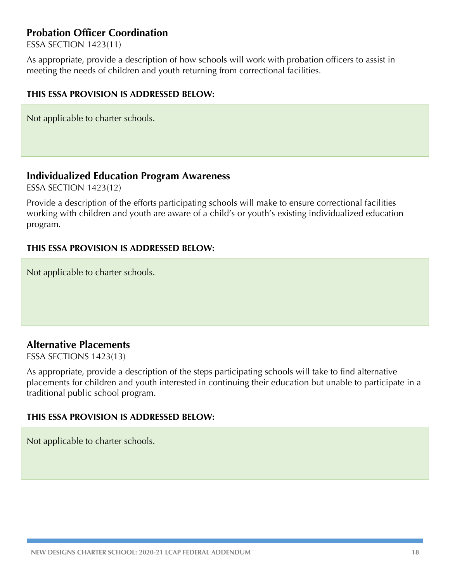### **Probation Officer Coordination**

ESSA SECTION 1423(11)

As appropriate, provide a description of how schools will work with probation officers to assist in meeting the needs of children and youth returning from correctional facilities.

#### **THIS ESSA PROVISION IS ADDRESSED BELOW:**

Not applicable to charter schools.

#### **Individualized Education Program Awareness**

ESSA SECTION 1423(12)

Provide a description of the efforts participating schools will make to ensure correctional facilities working with children and youth are aware of a child's or youth's existing individualized education program.

#### **THIS ESSA PROVISION IS ADDRESSED BELOW:**

Not applicable to charter schools.

### **Alternative Placements**

ESSA SECTIONS 1423(13)

As appropriate, provide a description of the steps participating schools will take to find alternative placements for children and youth interested in continuing their education but unable to participate in a traditional public school program.

#### **THIS ESSA PROVISION IS ADDRESSED BELOW:**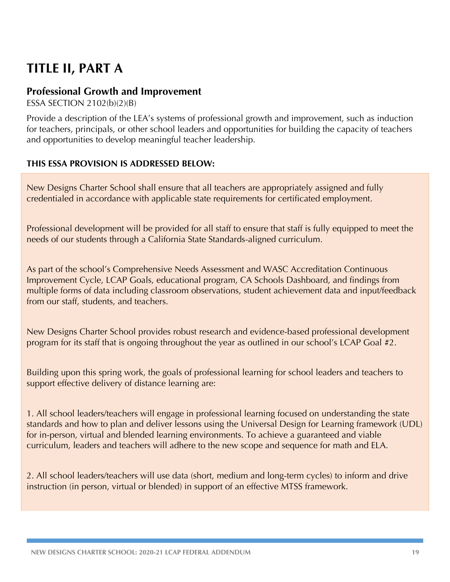## **TITLE II, PART A**

### **Professional Growth and Improvement**

ESSA SECTION 2102(b)(2)(B)

Provide a description of the LEA's systems of professional growth and improvement, such as induction for teachers, principals, or other school leaders and opportunities for building the capacity of teachers and opportunities to develop meaningful teacher leadership.

#### **THIS ESSA PROVISION IS ADDRESSED BELOW:**

New Designs Charter School shall ensure that all teachers are appropriately assigned and fully credentialed in accordance with applicable state requirements for certificated employment.

Professional development will be provided for all staff to ensure that staff is fully equipped to meet the needs of our students through a California State Standards-aligned curriculum.

As part of the school's Comprehensive Needs Assessment and WASC Accreditation Continuous Improvement Cycle, LCAP Goals, educational program, CA Schools Dashboard, and findings from multiple forms of data including classroom observations, student achievement data and input/feedback from our staff, students, and teachers.

New Designs Charter School provides robust research and evidence-based professional development program for its staff that is ongoing throughout the year as outlined in our school's LCAP Goal #2.

Building upon this spring work, the goals of professional learning for school leaders and teachers to support effective delivery of distance learning are:

1. All school leaders/teachers will engage in professional learning focused on understanding the state standards and how to plan and deliver lessons using the Universal Design for Learning framework (UDL) for in-person, virtual and blended learning environments. To achieve a guaranteed and viable curriculum, leaders and teachers will adhere to the new scope and sequence for math and ELA.

2. All school leaders/teachers will use data (short, medium and long-term cycles) to inform and drive instruction (in person, virtual or blended) in support of an effective MTSS framework.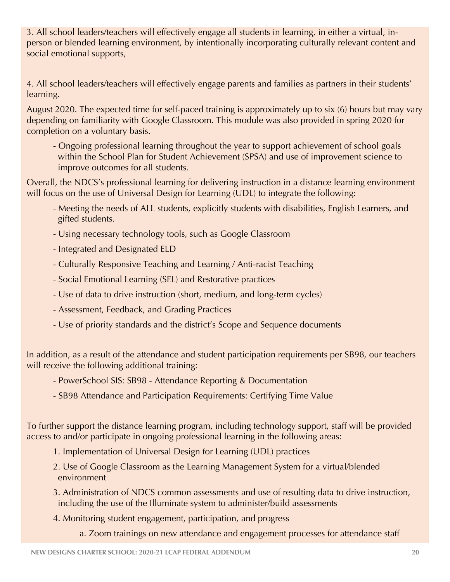3. All school leaders/teachers will effectively engage all students in learning, in either a virtual, inperson or blended learning environment, by intentionally incorporating culturally relevant content and social emotional supports,

4. All school leaders/teachers will effectively engage parents and families as partners in their students' learning.

August 2020. The expected time for self-paced training is approximately up to six (6) hours but may vary depending on familiarity with Google Classroom. This module was also provided in spring 2020 for completion on a voluntary basis.

- Ongoing professional learning throughout the year to support achievement of school goals within the School Plan for Student Achievement (SPSA) and use of improvement science to improve outcomes for all students.

Overall, the NDCS's professional learning for delivering instruction in a distance learning environment will focus on the use of Universal Design for Learning (UDL) to integrate the following:

- Meeting the needs of ALL students, explicitly students with disabilities, English Learners, and gifted students.
- Using necessary technology tools, such as Google Classroom
- Integrated and Designated ELD
- Culturally Responsive Teaching and Learning / Anti-racist Teaching
- Social Emotional Learning (SEL) and Restorative practices
- Use of data to drive instruction (short, medium, and long-term cycles)
- Assessment, Feedback, and Grading Practices
- Use of priority standards and the district's Scope and Sequence documents

In addition, as a result of the attendance and student participation requirements per SB98, our teachers will receive the following additional training:

- PowerSchool SIS: SB98 Attendance Reporting & Documentation
- SB98 Attendance and Participation Requirements: Certifying Time Value

To further support the distance learning program, including technology support, staff will be provided access to and/or participate in ongoing professional learning in the following areas:

- 1. Implementation of Universal Design for Learning (UDL) practices
- 2. Use of Google Classroom as the Learning Management System for a virtual/blended environment
- 3. Administration of NDCS common assessments and use of resulting data to drive instruction, including the use of the Illuminate system to administer/build assessments
- 4. Monitoring student engagement, participation, and progress
	- a. Zoom trainings on new attendance and engagement processes for attendance staff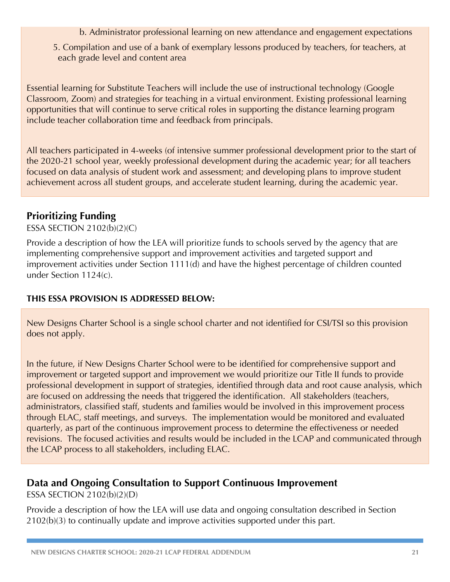- b. Administrator professional learning on new attendance and engagement expectations
- 5. Compilation and use of a bank of exemplary lessons produced by teachers, for teachers, at each grade level and content area

Essential learning for Substitute Teachers will include the use of instructional technology (Google Classroom, Zoom) and strategies for teaching in a virtual environment. Existing professional learning opportunities that will continue to serve critical roles in supporting the distance learning program include teacher collaboration time and feedback from principals.

All teachers participated in 4-weeks (of intensive summer professional development prior to the start of the 2020-21 school year, weekly professional development during the academic year; for all teachers focused on data analysis of student work and assessment; and developing plans to improve student achievement across all student groups, and accelerate student learning, during the academic year.

### **Prioritizing Funding**

ESSA SECTION 2102(b)(2)(C)

Provide a description of how the LEA will prioritize funds to schools served by the agency that are implementing comprehensive support and improvement activities and targeted support and improvement activities under Section 1111(d) and have the highest percentage of children counted under Section 1124(c).

#### **THIS ESSA PROVISION IS ADDRESSED BELOW:**

New Designs Charter School is a single school charter and not identified for CSI/TSI so this provision does not apply.

In the future, if New Designs Charter School were to be identified for comprehensive support and improvement or targeted support and improvement we would prioritize our Title II funds to provide professional development in support of strategies, identified through data and root cause analysis, which are focused on addressing the needs that triggered the identification. All stakeholders (teachers, administrators, classified staff, students and families would be involved in this improvement process through ELAC, staff meetings, and surveys. The implementation would be monitored and evaluated quarterly, as part of the continuous improvement process to determine the effectiveness or needed revisions. The focused activities and results would be included in the LCAP and communicated through the LCAP process to all stakeholders, including ELAC.

## **Data and Ongoing Consultation to Support Continuous Improvement**

ESSA SECTION 2102(b)(2)(D)

Provide a description of how the LEA will use data and ongoing consultation described in Section 2102(b)(3) to continually update and improve activities supported under this part.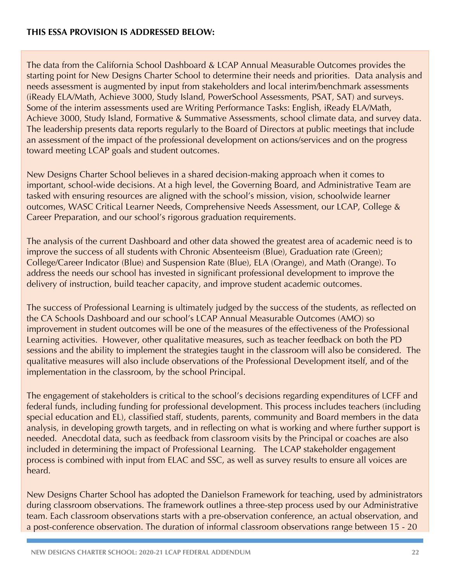The data from the California School Dashboard & LCAP Annual Measurable Outcomes provides the starting point for New Designs Charter School to determine their needs and priorities. Data analysis and needs assessment is augmented by input from stakeholders and local interim/benchmark assessments (iReady ELA/Math, Achieve 3000, Study Island, PowerSchool Assessments, PSAT, SAT) and surveys. Some of the interim assessments used are Writing Performance Tasks: English, iReady ELA/Math, Achieve 3000, Study Island, Formative & Summative Assessments, school climate data, and survey data. The leadership presents data reports regularly to the Board of Directors at public meetings that include an assessment of the impact of the professional development on actions/services and on the progress toward meeting LCAP goals and student outcomes.

New Designs Charter School believes in a shared decision-making approach when it comes to important, school-wide decisions. At a high level, the Governing Board, and Administrative Team are tasked with ensuring resources are aligned with the school's mission, vision, schoolwide learner outcomes, WASC Critical Learner Needs, Comprehensive Needs Assessment, our LCAP, College & Career Preparation, and our school's rigorous graduation requirements.

The analysis of the current Dashboard and other data showed the greatest area of academic need is to improve the success of all students with Chronic Absenteeism (Blue), Graduation rate (Green); College/Career Indicator (Blue) and Suspension Rate (Blue), ELA (Orange), and Math (Orange). To address the needs our school has invested in significant professional development to improve the delivery of instruction, build teacher capacity, and improve student academic outcomes.

The success of Professional Learning is ultimately judged by the success of the students, as reflected on the CA Schools Dashboard and our school's LCAP Annual Measurable Outcomes (AMO) so improvement in student outcomes will be one of the measures of the effectiveness of the Professional Learning activities. However, other qualitative measures, such as teacher feedback on both the PD sessions and the ability to implement the strategies taught in the classroom will also be considered. The qualitative measures will also include observations of the Professional Development itself, and of the implementation in the classroom, by the school Principal.

The engagement of stakeholders is critical to the school's decisions regarding expenditures of LCFF and federal funds, including funding for professional development. This process includes teachers (including special education and EL), classified staff, students, parents, community and Board members in the data analysis, in developing growth targets, and in reflecting on what is working and where further support is needed. Anecdotal data, such as feedback from classroom visits by the Principal or coaches are also included in determining the impact of Professional Learning. The LCAP stakeholder engagement process is combined with input from ELAC and SSC, as well as survey results to ensure all voices are heard.

New Designs Charter School has adopted the Danielson Framework for teaching, used by administrators during classroom observations. The framework outlines a three-step process used by our Administrative team. Each classroom observations starts with a pre-observation conference, an actual observation, and a post-conference observation. The duration of informal classroom observations range between 15 - 20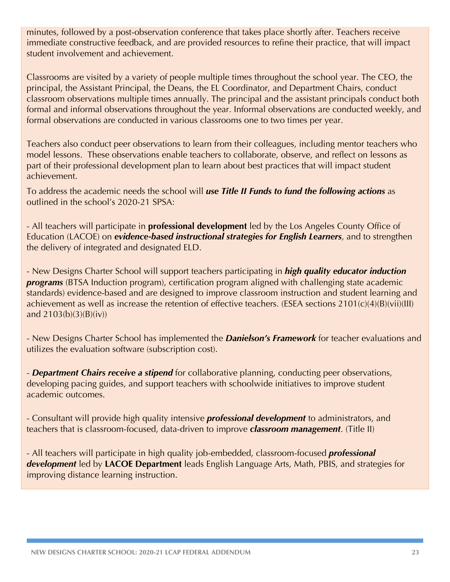minutes, followed by a post-observation conference that takes place shortly after. Teachers receive immediate constructive feedback, and are provided resources to refine their practice, that will impact student involvement and achievement.

Classrooms are visited by a variety of people multiple times throughout the school year. The CEO, the principal, the Assistant Principal, the Deans, the EL Coordinator, and Department Chairs, conduct classroom observations multiple times annually. The principal and the assistant principals conduct both formal and informal observations throughout the year. Informal observations are conducted weekly, and formal observations are conducted in various classrooms one to two times per year.

Teachers also conduct peer observations to learn from their colleagues, including mentor teachers who model lessons. These observations enable teachers to collaborate, observe, and reflect on lessons as part of their professional development plan to learn about best practices that will impact student achievement.

To address the academic needs the school will *use Title II Funds to fund the following actions* as outlined in the school's 2020-21 SPSA:

- All teachers will participate in **professional development** led by the Los Angeles County Office of Education (LACOE) on *evidence-based instructional strategies for English Learners*, and to strengthen the delivery of integrated and designated ELD.

- New Designs Charter School will support teachers participating in *high quality educator induction programs* (BTSA Induction program), certification program aligned with challenging state academic standards) evidence-based and are designed to improve classroom instruction and student learning and achievement as well as increase the retention of effective teachers. (ESEA sections 2101(c)(4)(B)(vii)(III) and  $2103(b)(3)(B)(iv)$ 

- New Designs Charter School has implemented the *Danielson's Framework* for teacher evaluations and utilizes the evaluation software (subscription cost).

- *Department Chairs receive a stipend* for collaborative planning, conducting peer observations, developing pacing guides, and support teachers with schoolwide initiatives to improve student academic outcomes.

- Consultant will provide high quality intensive *professional development* to administrators, and teachers that is classroom-focused, data-driven to improve *classroom management*. (Title II)

- All teachers will participate in high quality job-embedded, classroom-focused *professional development* led by **LACOE Department** leads English Language Arts, Math, PBIS, and strategies for improving distance learning instruction.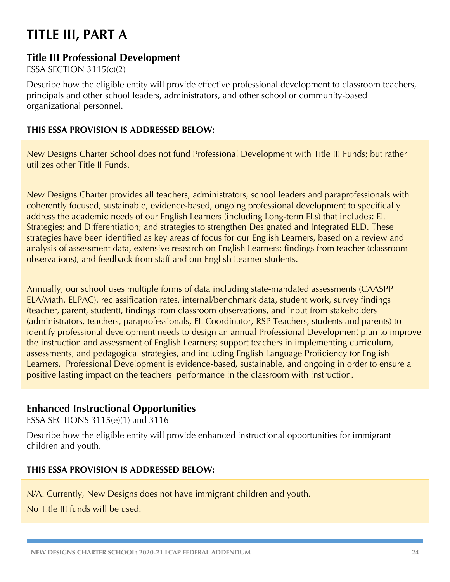## **TITLE III, PART A**

### **Title III Professional Development**

ESSA SECTION 3115(c)(2)

Describe how the eligible entity will provide effective professional development to classroom teachers, principals and other school leaders, administrators, and other school or community-based organizational personnel.

#### **THIS ESSA PROVISION IS ADDRESSED BELOW:**

New Designs Charter School does not fund Professional Development with Title III Funds; but rather utilizes other Title II Funds.

New Designs Charter provides all teachers, administrators, school leaders and paraprofessionals with coherently focused, sustainable, evidence-based, ongoing professional development to specifically address the academic needs of our English Learners (including Long-term ELs) that includes: EL Strategies; and Differentiation; and strategies to strengthen Designated and Integrated ELD. These strategies have been identified as key areas of focus for our English Learners, based on a review and analysis of assessment data, extensive research on English Learners; findings from teacher (classroom observations), and feedback from staff and our English Learner students.

Annually, our school uses multiple forms of data including state-mandated assessments (CAASPP ELA/Math, ELPAC), reclassification rates, internal/benchmark data, student work, survey findings (teacher, parent, student), findings from classroom observations, and input from stakeholders (administrators, teachers, paraprofessionals, EL Coordinator, RSP Teachers, students and parents) to identify professional development needs to design an annual Professional Development plan to improve the instruction and assessment of English Learners; support teachers in implementing curriculum, assessments, and pedagogical strategies, and including English Language Proficiency for English Learners. Professional Development is evidence-based, sustainable, and ongoing in order to ensure a positive lasting impact on the teachers' performance in the classroom with instruction.

### **Enhanced Instructional Opportunities**

ESSA SECTIONS 3115(e)(1) and 3116

Describe how the eligible entity will provide enhanced instructional opportunities for immigrant children and youth.

#### **THIS ESSA PROVISION IS ADDRESSED BELOW:**

N/A. Currently, New Designs does not have immigrant children and youth.

No Title III funds will be used.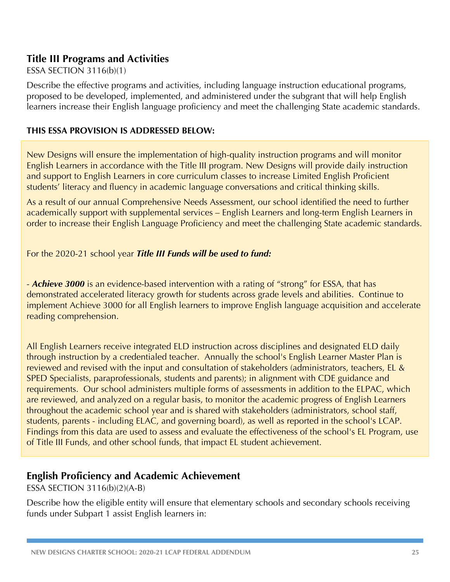### **Title III Programs and Activities**

#### ESSA SECTION 3116(b)(1)

Describe the effective programs and activities, including language instruction educational programs, proposed to be developed, implemented, and administered under the subgrant that will help English learners increase their English language proficiency and meet the challenging State academic standards.

#### **THIS ESSA PROVISION IS ADDRESSED BELOW:**

New Designs will ensure the implementation of high-quality instruction programs and will monitor English Learners in accordance with the Title III program. New Designs will provide daily instruction and support to English Learners in core curriculum classes to increase Limited English Proficient students' literacy and fluency in academic language conversations and critical thinking skills.

As a result of our annual Comprehensive Needs Assessment, our school identified the need to further academically support with supplemental services – English Learners and long-term English Learners in order to increase their English Language Proficiency and meet the challenging State academic standards.

For the 2020-21 school year *Title III Funds will be used to fund:*

- *Achieve 3000* is an evidence-based intervention with a rating of "strong" for ESSA, that has demonstrated accelerated literacy growth for students across grade levels and abilities. Continue to implement Achieve 3000 for all English learners to improve English language acquisition and accelerate reading comprehension.

All English Learners receive integrated ELD instruction across disciplines and designated ELD daily through instruction by a credentialed teacher. Annually the school's English Learner Master Plan is reviewed and revised with the input and consultation of stakeholders (administrators, teachers, EL & SPED Specialists, paraprofessionals, students and parents); in alignment with CDE guidance and requirements. Our school administers multiple forms of assessments in addition to the ELPAC, which are reviewed, and analyzed on a regular basis, to monitor the academic progress of English Learners throughout the academic school year and is shared with stakeholders (administrators, school staff, students, parents - including ELAC, and governing board), as well as reported in the school's LCAP. Findings from this data are used to assess and evaluate the effectiveness of the school's EL Program, use of Title III Funds, and other school funds, that impact EL student achievement.

### **English Proficiency and Academic Achievement**

ESSA SECTION 3116(b)(2)(A-B)

Describe how the eligible entity will ensure that elementary schools and secondary schools receiving funds under Subpart 1 assist English learners in: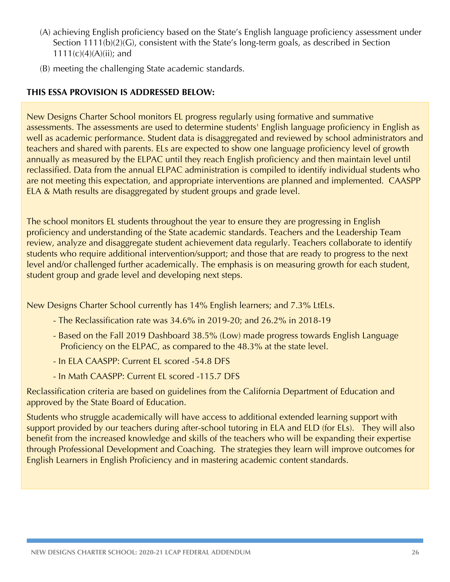- (A) achieving English proficiency based on the State's English language proficiency assessment under Section 1111(b)(2)(G), consistent with the State's long-term goals, as described in Section  $1111(c)(4)(A)(ii)$ ; and
- (B) meeting the challenging State academic standards.

#### **THIS ESSA PROVISION IS ADDRESSED BELOW:**

New Designs Charter School monitors EL progress regularly using formative and summative assessments. The assessments are used to determine students' English language proficiency in English as well as academic performance. Student data is disaggregated and reviewed by school administrators and teachers and shared with parents. ELs are expected to show one language proficiency level of growth annually as measured by the ELPAC until they reach English proficiency and then maintain level until reclassified. Data from the annual ELPAC administration is compiled to identify individual students who are not meeting this expectation, and appropriate interventions are planned and implemented. CAASPP ELA & Math results are disaggregated by student groups and grade level.

The school monitors EL students throughout the year to ensure they are progressing in English proficiency and understanding of the State academic standards. Teachers and the Leadership Team review, analyze and disaggregate student achievement data regularly. Teachers collaborate to identify students who require additional intervention/support; and those that are ready to progress to the next level and/or challenged further academically. The emphasis is on measuring growth for each student, student group and grade level and developing next steps.

New Designs Charter School currently has 14% English learners; and 7.3% LtELs.

- The Reclassification rate was 34.6% in 2019-20; and 26.2% in 2018-19
- Based on the Fall 2019 Dashboard 38.5% (Low) made progress towards English Language Proficiency on the ELPAC, as compared to the 48.3% at the state level.
- In ELA CAASPP: Current EL scored -54.8 DFS
- In Math CAASPP: Current EL scored -115.7 DFS

Reclassification criteria are based on guidelines from the California Department of Education and approved by the State Board of Education.

Students who struggle academically will have access to additional extended learning support with support provided by our teachers during after-school tutoring in ELA and ELD (for ELs). They will also benefit from the increased knowledge and skills of the teachers who will be expanding their expertise through Professional Development and Coaching. The strategies they learn will improve outcomes for English Learners in English Proficiency and in mastering academic content standards.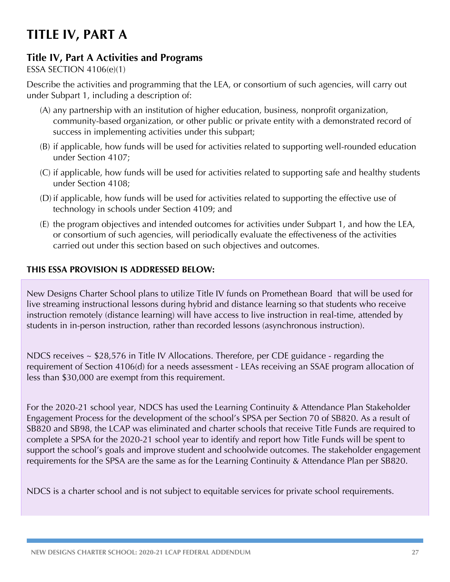## **TITLE IV, PART A**

## **Title IV, Part A Activities and Programs**

#### ESSA SECTION 4106(e)(1)

Describe the activities and programming that the LEA, or consortium of such agencies, will carry out under Subpart 1, including a description of:

- (A) any partnership with an institution of higher education, business, nonprofit organization, community-based organization, or other public or private entity with a demonstrated record of success in implementing activities under this subpart;
- (B) if applicable, how funds will be used for activities related to supporting well-rounded education under Section 4107;
- (C) if applicable, how funds will be used for activities related to supporting safe and healthy students under Section 4108;
- (D) if applicable, how funds will be used for activities related to supporting the effective use of technology in schools under Section 4109; and
- (E) the program objectives and intended outcomes for activities under Subpart 1, and how the LEA, or consortium of such agencies, will periodically evaluate the effectiveness of the activities carried out under this section based on such objectives and outcomes.

#### **THIS ESSA PROVISION IS ADDRESSED BELOW:**

New Designs Charter School plans to utilize Title IV funds on Promethean Board that will be used for live streaming instructional lessons during hybrid and distance learning so that students who receive instruction remotely (distance learning) will have access to live instruction in real-time, attended by students in in-person instruction, rather than recorded lessons (asynchronous instruction).

NDCS receives ~ \$28,576 in Title IV Allocations. Therefore, per CDE guidance - regarding the requirement of Section 4106(d) for a needs assessment - LEAs receiving an SSAE program allocation of less than \$30,000 are exempt from this requirement.

For the 2020-21 school year, NDCS has used the Learning Continuity & Attendance Plan Stakeholder Engagement Process for the development of the school's SPSA per Section 70 of SB820. As a result of SB820 and SB98, the LCAP was eliminated and charter schools that receive Title Funds are required to complete a SPSA for the 2020-21 school year to identify and report how Title Funds will be spent to support the school's goals and improve student and schoolwide outcomes. The stakeholder engagement requirements for the SPSA are the same as for the Learning Continuity & Attendance Plan per SB820.

NDCS is a charter school and is not subject to equitable services for private school requirements.